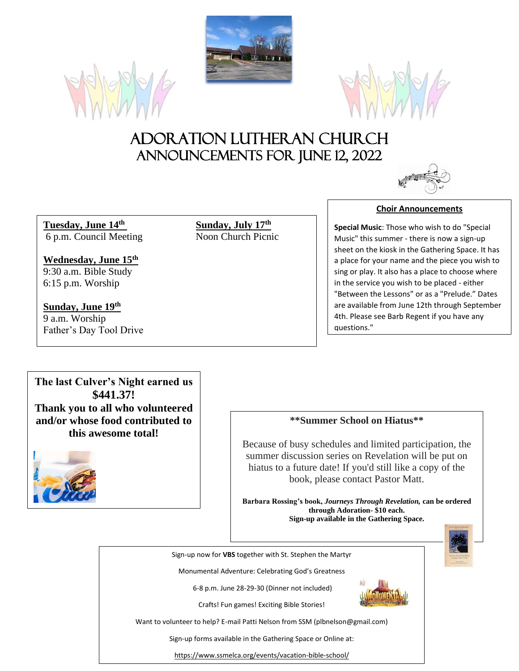





# Adoration Lutheran Church Announcements For JUNE 12, 2022

**Tuesday, June 14** 6 p.m. Council Meeting

**Wednesday, June 15th** 9:30 a.m. Bible Study 6:15 p.m. Worship

**Sunday, June 19th** 9 a.m. Worship

Father's Day Tool Drive

**<u>Sunday, July 17<sup>th</sup>**<br>Noon Church Picnic</u>

**Choir Announcements**

**Special Music**: Those who wish to do "Special Music" this summer - there is now a sign-up sheet on the kiosk in the Gathering Space. It has a place for your name and the piece you wish to sing or play. It also has a place to choose where in the service you wish to be placed - either "Between the Lessons" or as a "Prelude." Dates are available from June 12th through September 4th. Please see Barb Regent if you have any questions."

**The last Culver's Night earned us \$441.37! Thank you to all who volunteered and/or whose food contributed to this awesome total!**



### **\*\*Summer School on Hiatus\*\***

Because of busy schedules and limited participation, the summer discussion series on Revelation will be put on hiatus to a future date! If you'd still like a copy of the book, please contact Pastor Matt.

**Barbara Rossing's book,** *Journeys Through Revelation,* **can be ordered through Adoration- \$10 each. Sign-up available in the Gathering Space.**



Sign-up now for **VBS** together with St. Stephen the Martyr

Monumental Adventure: Celebrating God's Greatness

6-8 p.m. June 28-29-30 (Dinner not included)

Crafts! Fun games! Exciting Bible Stories!



Want to volunteer to help? E-mail Patti Nelson from SSM (plbnelson@gmail.com)

Sign-up forms available in the Gathering Space or Online at:

https://www.ssmelca.org/events/vacation-bible-school/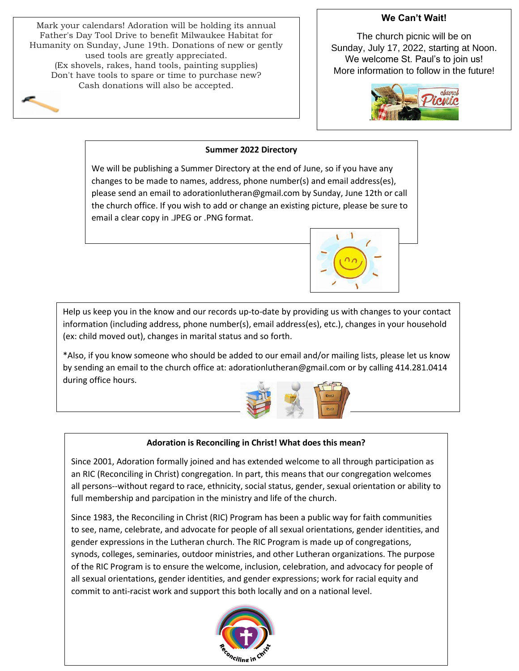Mark your calendars! Adoration will be holding its annual Father's Day Tool Drive to benefit Milwaukee Habitat for Humanity on Sunday, June 19th. Donations of new or gently used tools are greatly appreciated. (Ex shovels, rakes, hand tools, painting supplies) Don't have tools to spare or time to purchase new? Cash donations will also be accepted.

# **We Can't Wait!**

The church picnic will be on Sunday, July 17, 2022, starting at Noon. We welcome St. Paul's to join us! More information to follow in the future!



#### **Summer 2022 Directory**

We will be publishing a Summer Directory at the end of June, so if you have any changes to be made to names, address, phone number(s) and email address(es), please send an email to adorationlutheran@gmail.com by Sunday, June 12th or call the church office. If you wish to add or change an existing picture, please be sure to email a clear copy in .JPEG or .PNG format.



\*Also, if you know someone who should be added to our email and/or mailing lists, please let us know by sending an email to the church office at: adorationlutheran@gmail.com or by calling 414.281.0414 during office hours.



n

#### **Adoration is Reconciling in Christ! What does this mean?**

Since 2001, Adoration formally joined and has extended welcome to all through participation as an RIC (Reconciling in Christ) congregation. In part, this means that our congregation welcomes all persons--without regard to race, ethnicity, social status, gender, sexual orientation or ability to full membership and parcipation in the ministry and life of the church.

Since 1983, the Reconciling in Christ (RIC) Program has been a public way for faith communities to see, name, celebrate, and advocate for people of all sexual orientations, gender identities, and gender expressions in the Lutheran church. The RIC Program is made up of congregations, synods, colleges, seminaries, outdoor ministries, and other Lutheran organizations. The purpose of the RIC Program is to ensure the welcome, inclusion, celebration, and advocacy for people of all sexual orientations, gender identities, and gender expressions; work for racial equity and commit to anti-racist work and support this both locally and on a national level.



 $\overline{a}$